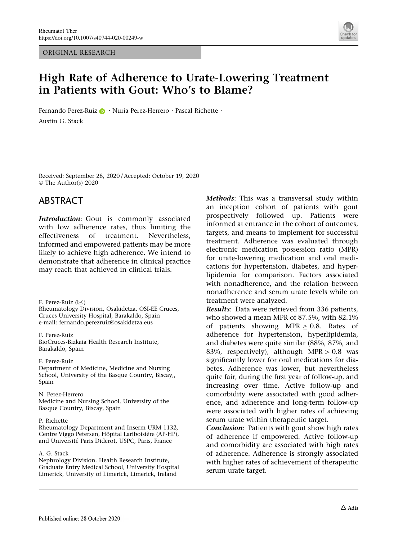ORIGINAL RESEARCH



# High Rate of Adherence to Urate-Lowering Treatment in Patients with Gout: Who's to Blame?

Fernando Pere[z](http://orcid.org/0000-0002-5268-1894)-Ruiz  $\bigcirc$  · Nuria Perez-Herrero · Pascal Richette · Austin G. Stack

Received: September 28, 2020 / Accepted: October 19, 2020 © The Author(s) 2020

## ABSTRACT

Introduction: Gout is commonly associated with low adherence rates, thus limiting the effectiveness of treatment. Nevertheless, informed and empowered patients may be more likely to achieve high adherence. We intend to demonstrate that adherence in clinical practice may reach that achieved in clinical trials.

F. Perez-Ruiz (⊠)

Rheumatology Division, Osakidetza, OSI-EE Cruces, Cruces University Hospital, Barakaldo, Spain e-mail: fernando.perezruiz@osakidetza.eus

F. Perez-Ruiz BioCruces-Bizkaia Health Research Institute, Barakaldo, Spain

#### F. Perez-Ruiz

Department of Medicine, Medicine and Nursing School, University of the Basque Country, Biscay,, Spain

#### N. Perez-Herrero

Medicine and Nursing School, University of the Basque Country, Biscay, Spain

#### P. Richette

#### Rheumatology Department and Inserm URM 1132, Centre Viggo Petersen, Hôpital Lariboisière (AP-HP), and Université Paris Diderot, USPC, Paris, France

#### A. G. Stack

Nephrology Division, Health Research Institute, Graduate Entry Medical School, University Hospital Limerick, University of Limerick, Limerick, Ireland

Methods: This was a transversal study within an inception cohort of patients with gout prospectively followed up. Patients were informed at entrance in the cohort of outcomes, targets, and means to implement for successful treatment. Adherence was evaluated through electronic medication possession ratio (MPR) for urate-lowering medication and oral medications for hypertension, diabetes, and hyperlipidemia for comparison. Factors associated with nonadherence, and the relation between nonadherence and serum urate levels while on treatment were analyzed.

Results: Data were retrieved from 336 patients, who showed a mean MPR of 87.5%, with 82.1% of patients showing MPR  $\geq 0.8$ . Rates of adherence for hypertension, hyperlipidemia, and diabetes were quite similar (88%, 87%, and 83%, respectively), although MPR  $> 0.8$  was significantly lower for oral medications for diabetes. Adherence was lower, but nevertheless quite fair, during the first year of follow-up, and increasing over time. Active follow-up and comorbidity were associated with good adherence, and adherence and long-term follow-up were associated with higher rates of achieving serum urate within therapeutic target.

Conclusion: Patients with gout show high rates of adherence if empowered. Active follow-up and comorbidity are associated with high rates of adherence. Adherence is strongly associated with higher rates of achievement of therapeutic serum urate target.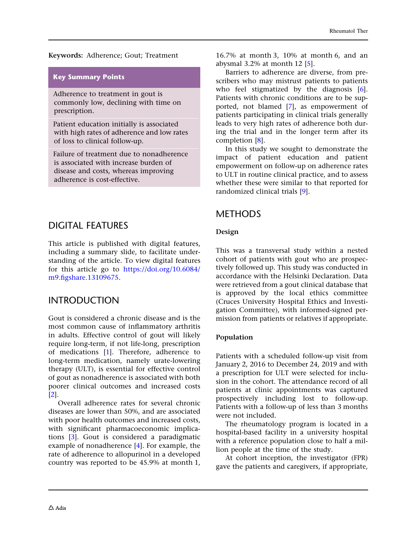Keywords: Adherence; Gout; Treatment

#### Key Summary Points

Adherence to treatment in gout is commonly low, declining with time on prescription.

Patient education initially is associated with high rates of adherence and low rates of loss to clinical follow-up.

Failure of treatment due to nonadherence is associated with increase burden of disease and costs, whereas improving adherence is cost-effective.

# DIGITAL FEATURES

This article is published with digital features, including a summary slide, to facilitate understanding of the article. To view digital features for this article go to [https://doi.org/10.6084/](https://doi.org/10.6084/m9.figshare.13109675) [m9.figshare.13109675.](https://doi.org/10.6084/m9.figshare.13109675)

# INTRODUCTION

Gout is considered a chronic disease and is the most common cause of inflammatory arthritis in adults. Effective control of gout will likely require long-term, if not life-long, prescription of medications [[1](#page-7-0)]. Therefore, adherence to long-term medication, namely urate-lowering therapy (ULT), is essential for effective control of gout as nonadherence is associated with both poorer clinical outcomes and increased costs [\[2\]](#page-7-0).

Overall adherence rates for several chronic diseases are lower than 50%, and are associated with poor health outcomes and increased costs, with significant pharmacoeconomic implications [[3](#page-7-0)]. Gout is considered a paradigmatic example of nonadherence [\[4](#page-7-0)]. For example, the rate of adherence to allopurinol in a developed country was reported to be 45.9% at month 1,

16.7% at month 3, 10% at month 6, and an abysmal 3.2% at month 12 [\[5\]](#page-7-0).

Barriers to adherence are diverse, from prescribers who may mistrust patients to patients who feel stigmatized by the diagnosis [[6](#page-7-0)]. Patients with chronic conditions are to be supported, not blamed [[7\]](#page-7-0), as empowerment of patients participating in clinical trials generally leads to very high rates of adherence both during the trial and in the longer term after its completion [\[8](#page-7-0)].

In this study we sought to demonstrate the impact of patient education and patient empowerment on follow-up on adherence rates to ULT in routine clinical practice, and to assess whether these were similar to that reported for randomized clinical trials [[9\]](#page-7-0).

# **METHODS**

### Design

This was a transversal study within a nested cohort of patients with gout who are prospectively followed up. This study was conducted in accordance with the Helsinki Declaration. Data were retrieved from a gout clinical database that is approved by the local ethics committee (Cruces University Hospital Ethics and Investigation Committee), with informed-signed permission from patients or relatives if appropriate.

### Population

Patients with a scheduled follow-up visit from January 2, 2016 to December 24, 2019 and with a prescription for ULT were selected for inclusion in the cohort. The attendance record of all patients at clinic appointments was captured prospectively including lost to follow-up. Patients with a follow-up of less than 3 months were not included.

The rheumatology program is located in a hospital-based facility in a university hospital with a reference population close to half a million people at the time of the study.

At cohort inception, the investigator (FPR) gave the patients and caregivers, if appropriate,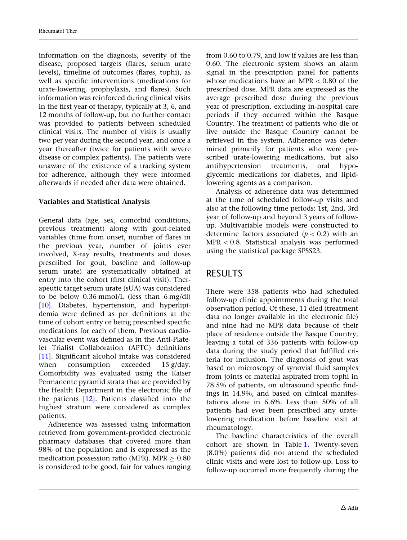information on the diagnosis, severity of the disease, proposed targets (flares, serum urate levels), timeline of outcomes (flares, tophi), as well as specific interventions (medications for urate-lowering, prophylaxis, and flares). Such information was reinforced during clinical visits in the first year of therapy, typically at 3, 6, and 12 months of follow-up, but no further contact was provided to patients between scheduled clinical visits. The number of visits is usually two per year during the second year, and once a year thereafter (twice for patients with severe disease or complex patients). The patients were unaware of the existence of a tracking system for adherence, although they were informed afterwards if needed after data were obtained.

### Variables and Statistical Analysis

General data (age, sex, comorbid conditions, previous treatment) along with gout-related variables (time from onset, number of flares in the previous year, number of joints ever involved, X-ray results, treatments and doses prescribed for gout, baseline and follow-up serum urate) are systematically obtained at entry into the cohort (first clinical visit). Therapeutic target serum urate (sUA) was considered to be below 0.36 mmol/L (less than 6 mg/dl) [\[10](#page-7-0)]. Diabetes, hypertension, and hyperlipidemia were defined as per definitions at the time of cohort entry or being prescribed specific medications for each of them. Previous cardiovascular event was defined as in the Anti-Platelet Trialist Collaboration (APTC) definitions [\[11](#page-7-0)]. Significant alcohol intake was considered when consumption exceeded 15 g/day. Comorbidity was evaluated using the Kaiser Permanente pyramid strata that are provided by the Health Department in the electronic file of the patients [\[12\]](#page-7-0). Patients classified into the highest stratum were considered as complex patients.

Adherence was assessed using information retrieved from government-provided electronic pharmacy databases that covered more than 98% of the population and is expressed as the medication possession ratio (MPR). MPR  $\geq 0.80$ is considered to be good, fair for values ranging from 0.60 to 0.79, and low if values are less than 0.60. The electronic system shows an alarm signal in the prescription panel for patients whose medications have an MPR  $< 0.80$  of the prescribed dose. MPR data are expressed as the average prescribed dose during the previous year of prescription, excluding in-hospital care periods if they occurred within the Basque Country. The treatment of patients who die or live outside the Basque Country cannot be retrieved in the system. Adherence was determined primarily for patients who were prescribed urate-lowering medications, but also antihypertension treatments, oral hypoglycemic medications for diabetes, and lipidlowering agents as a comparison.

Analysis of adherence data was determined at the time of scheduled follow-up visits and also at the following time periods: 1st, 2nd, 3rd year of follow-up and beyond 3 years of followup. Multivariable models were constructed to determine factors associated ( $p < 0.2$ ) with an  $MPR < 0.8$ . Statistical analysis was performed using the statistical package SPSS23.

# RESULTS

There were 358 patients who had scheduled follow-up clinic appointments during the total observation period. Of these, 11 died (treatment data no longer available in the electronic file) and nine had no MPR data because of their place of residence outside the Basque Country, leaving a total of 336 patients with follow-up data during the study period that fulfilled criteria for inclusion. The diagnosis of gout was based on microscopy of synovial fluid samples from joints or material aspirated from tophi in 78.5% of patients, on ultrasound specific findings in 14.9%, and based on clinical manifestations alone in 6.6%. Less than 50% of all patients had ever been prescribed any uratelowering medication before baseline visit at rheumatology.

The baseline characteristics of the overall cohort are shown in Table [1.](#page-3-0) Twenty-seven (8.0%) patients did not attend the scheduled clinic visits and were lost to follow-up. Loss to follow-up occurred more frequently during the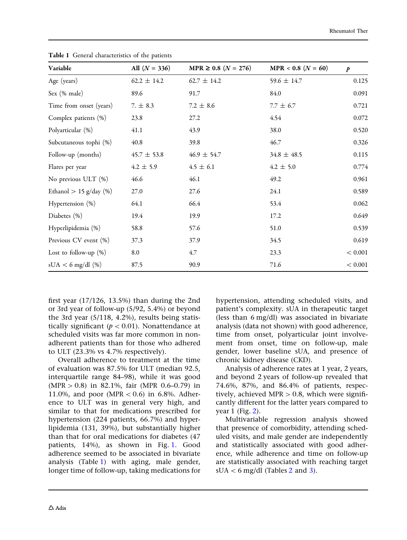| Variable                 | All $(N = 336)$ | $MPR \ge 0.8$ ( $N = 276$ ) | $MPR < 0.8$ ( $N = 60$ ) | $\boldsymbol{p}$ |
|--------------------------|-----------------|-----------------------------|--------------------------|------------------|
| Age (years)              | $62.2 \pm 14.2$ | $62.7 \pm 14.2$             | 59.6 $\pm$ 14.7          | 0.125            |
| Sex (% male)             | 89.6            | 91.7                        | 84.0                     | 0.091            |
| Time from onset (years)  | $7. \pm 8.3$    | $7.2 \pm 8.6$               | $7.7 \pm 6.7$            | 0.721            |
| Complex patients (%)     | 23.8            | 27.2                        | 4.54                     | 0.072            |
| Polyarticular (%)        | 41.1            | 43.9                        | 38.0                     | 0.520            |
| Subcutaneous tophi (%)   | 40.8            | 39.8                        | 46.7                     | 0.326            |
| Follow-up (months)       | $45.7 \pm 53.8$ | $46.9 \pm 54.7$             | $34.8 \pm 48.5$          | 0.115            |
| Flares per year          | $4.2 \pm 5.9$   | $4.5 \pm 6.1$               | $4.2 \pm 5.0$            | 0.774            |
| No previous ULT $(\%)$   | 46.6            | 46.1                        | 49.2                     | 0.961            |
| Ethanol $> 15$ g/day (%) | 27.0            | 27.6                        | 24.1                     | 0.589            |
| Hypertension (%)         | 64.1            | 66.4                        | 53.4                     | 0.062            |
| Diabetes (%)             | 19.4            | 19.9                        | 17.2                     | 0.649            |
| Hyperlipidemia (%)       | 58.8            | 57.6                        | 51.0                     | 0.539            |
| Previous CV event (%)    | 37.3            | 37.9                        | 34.5                     | 0.619            |
| Lost to follow-up $(\%)$ | 8.0             | 4.7                         | 23.3                     | $< 0.001$        |
| $sUA < 6$ mg/dl $(\%)$   | 87.5            | 90.9                        | 71.6                     | < 0.001          |

<span id="page-3-0"></span>Table 1 General characteristics of the patients

first year (17/126, 13.5%) than during the 2nd or 3rd year of follow-up (5/92, 5.4%) or beyond the 3rd year (5/118, 4.2%), results being statistically significant ( $p < 0.01$ ). Nonattendance at scheduled visits was far more common in nonadherent patients than for those who adhered to ULT (23.3% vs 4.7% respectively).

Overall adherence to treatment at the time of evaluation was 87.5% for ULT (median 92.5, interquartile range 84–98), while it was good  $(MPR > 0.8)$  in 82.1%, fair (MPR 0.6-0.79) in 11.0%, and poor (MPR  $< 0.6$ ) in 6.8%. Adherence to ULT was in general very high, and similar to that for medications prescribed for hypertension (224 patients, 66.7%) and hyperlipidemia (131, 39%), but substantially higher than that for oral medications for diabetes (47 patients, 14%), as shown in Fig. [1](#page-4-0). Good adherence seemed to be associated in bivariate analysis (Table 1) with aging, male gender, longer time of follow-up, taking medications for hypertension, attending scheduled visits, and patient's complexity. sUA in therapeutic target (less than 6 mg/dl) was associated in bivariate analysis (data not shown) with good adherence, time from onset, polyarticular joint involvement from onset, time on follow-up, male gender, lower baseline sUA, and presence of chronic kidney disease (CKD).

Analysis of adherence rates at 1 year, 2 years, and beyond 2 years of follow-up revealed that 74.6%, 87%, and 86.4% of patients, respectively, achieved MPR  $> 0.8$ , which were significantly different for the latter years compared to year 1 (Fig. [2](#page-4-0)).

Multivariable regression analysis showed that presence of comorbidity, attending scheduled visits, and male gender are independently and statistically associated with good adherence, while adherence and time on follow-up are statistically associated with reaching target  $sUA < 6$  mg/dl (Tables [2](#page-5-0) and [3](#page-5-0)).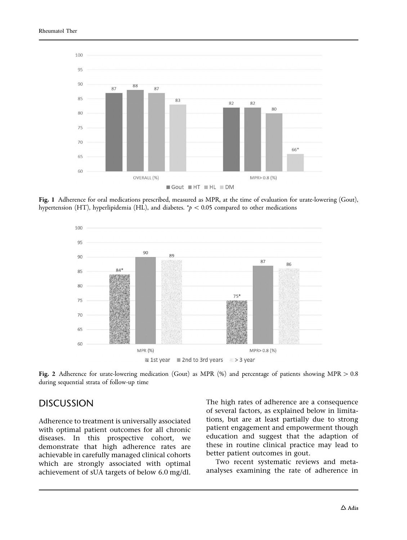<span id="page-4-0"></span>

Fig. 1 Adherence for oral medications prescribed, measured as MPR, at the time of evaluation for urate-lowering (Gout), hypertension (HT), hyperlipidemia (HL), and diabetes.  $p \leq 0.05$  compared to other medications



Fig. 2 Adherence for urate-lowering medication (Gout) as MPR (%) and percentage of patients showing MPR  $> 0.8$ during sequential strata of follow-up time

### DISCUSSION

Adherence to treatment is universally associated with optimal patient outcomes for all chronic diseases. In this prospective cohort, we demonstrate that high adherence rates are achievable in carefully managed clinical cohorts which are strongly associated with optimal achievement of sUA targets of below 6.0 mg/dl. The high rates of adherence are a consequence of several factors, as explained below in limitations, but are at least partially due to strong patient engagement and empowerment though education and suggest that the adaption of these in routine clinical practice may lead to better patient outcomes in gout.

Two recent systematic reviews and metaanalyses examining the rate of adherence in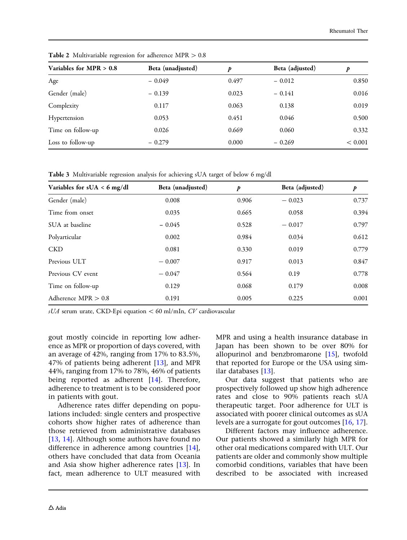| Variables for MPR > 0.8 | Beta (unadjusted) | p     | Beta (adjusted) | p       |
|-------------------------|-------------------|-------|-----------------|---------|
| Age                     | $-0.049$          | 0.497 | $-0.012$        | 0.850   |
| Gender (male)           | $-0.139$          | 0.023 | $-0.141$        | 0.016   |
| Complexity              | 0.117             | 0.063 | 0.138           | 0.019   |
| Hypertension            | 0.053             | 0.451 | 0.046           | 0.500   |
| Time on follow-up       | 0.026             | 0.669 | 0.060           | 0.332   |
| Loss to follow-up       | $-0.279$          | 0.000 | $-0.269$        | < 0.001 |

<span id="page-5-0"></span>Table 2 Multivariable regression for adherence  $MPR > 0.8$ 

Table 3 Multivariable regression analysis for achieving sUA target of below 6 mg/dl

| Variables for $sUA < 6$ mg/dl | Beta (unadjusted) | $\boldsymbol{p}$ | Beta (adjusted) | $\boldsymbol{p}$ |
|-------------------------------|-------------------|------------------|-----------------|------------------|
| Gender (male)                 | 0.008             | 0.906            | $-0.023$        | 0.737            |
| Time from onset               | 0.035             | 0.665            | 0.058           | 0.394            |
| SUA at baseline               | $-0.045$          | 0.528            | $-0.017$        | 0.797            |
| Polyarticular                 | 0.002             | 0.984            | 0.034           | 0.612            |
| <b>CKD</b>                    | 0.081             | 0.330            | 0.019           | 0.779            |
| Previous ULT                  | $-0.007$          | 0.917            | 0.013           | 0.847            |
| Previous CV event             | $-0.047$          | 0.564            | 0.19            | 0.778            |
| Time on follow-up             | 0.129             | 0.068            | 0.179           | 0.008            |
| Adherence $MPR > 0.8$         | 0.191             | 0.005            | 0.225           | 0.001            |

 $sUA$  serum urate, CKD-Epi equation  $< 60$  ml/mIn, CV cardiovascular

gout mostly coincide in reporting low adherence as MPR or proportion of days covered, with an average of 42%, ranging from 17% to 83.5%, 47% of patients being adherent [[13](#page-7-0)], and MPR 44%, ranging from 17% to 78%, 46% of patients being reported as adherent [[14\]](#page-7-0). Therefore, adherence to treatment is to be considered poor in patients with gout.

Adherence rates differ depending on populations included: single centers and prospective cohorts show higher rates of adherence than those retrieved from administrative databases [\[13,](#page-7-0) [14\]](#page-7-0). Although some authors have found no difference in adherence among countries [[14](#page-7-0)], others have concluded that data from Oceania and Asia show higher adherence rates [\[13\]](#page-7-0). In fact, mean adherence to ULT measured with

MPR and using a health insurance database in Japan has been shown to be over 80% for allopurinol and benzbromarone [\[15\]](#page-7-0), twofold that reported for Europe or the USA using similar databases [\[13\]](#page-7-0).

Our data suggest that patients who are prospectively followed up show high adherence rates and close to 90% patients reach sUA therapeutic target. Poor adherence for ULT is associated with poorer clinical outcomes as sUA levels are a surrogate for gout outcomes [\[16,](#page-8-0) [17](#page-8-0)].

Different factors may influence adherence. Our patients showed a similarly high MPR for other oral medications compared with ULT. Our patients are older and commonly show multiple comorbid conditions, variables that have been described to be associated with increased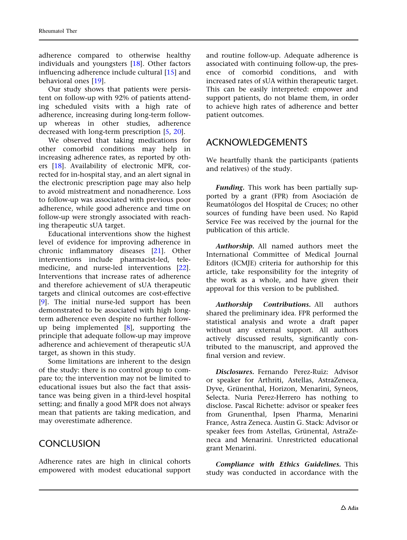adherence compared to otherwise healthy individuals and youngsters [[18](#page-8-0)]. Other factors influencing adherence include cultural [[15](#page-7-0)] and behavioral ones [\[19\]](#page-8-0).

Our study shows that patients were persistent on follow-up with 92% of patients attending scheduled visits with a high rate of adherence, increasing during long-term followup whereas in other studies, adherence decreased with long-term prescription [\[5,](#page-7-0) [20](#page-8-0)].

We observed that taking medications for other comorbid conditions may help in increasing adherence rates, as reported by others [\[18\]](#page-8-0). Availability of electronic MPR, corrected for in-hospital stay, and an alert signal in the electronic prescription page may also help to avoid mistreatment and nonadherence. Loss to follow-up was associated with previous poor adherence, while good adherence and time on follow-up were strongly associated with reaching therapeutic sUA target.

Educational interventions show the highest level of evidence for improving adherence in chronic inflammatory diseases [[21](#page-8-0)]. Other interventions include pharmacist-led, telemedicine, and nurse-led interventions [[22\]](#page-8-0). Interventions that increase rates of adherence and therefore achievement of sUA therapeutic targets and clinical outcomes are cost-effective [\[9\]](#page-7-0). The initial nurse-led support has been demonstrated to be associated with high longterm adherence even despite no further followup being implemented [[8\]](#page-7-0), supporting the principle that adequate follow-up may improve adherence and achievement of therapeutic sUA target, as shown in this study.

Some limitations are inherent to the design of the study: there is no control group to compare to; the intervention may not be limited to educational issues but also the fact that assistance was being given in a third-level hospital setting; and finally a good MPR does not always mean that patients are taking medication, and may overestimate adherence.

## **CONCLUSION**

Adherence rates are high in clinical cohorts empowered with modest educational support and routine follow-up. Adequate adherence is associated with continuing follow-up, the presence of comorbid conditions, and with increased rates of sUA within therapeutic target. This can be easily interpreted: empower and support patients, do not blame them, in order to achieve high rates of adherence and better patient outcomes.

### ACKNOWLEDGEMENTS

We heartfully thank the participants (patients and relatives) of the study.

Funding. This work has been partially supported by a grant (FPR) from Asociación de Reumatólogos del Hospital de Cruces; no other sources of funding have been used. No Rapid Service Fee was received by the journal for the publication of this article.

Authorship. All named authors meet the International Committee of Medical Journal Editors (ICMJE) criteria for authorship for this article, take responsibility for the integrity of the work as a whole, and have given their approval for this version to be published.

Authorship Contributions. All authors shared the preliminary idea. FPR performed the statistical analysis and wrote a draft paper without any external support. All authors actively discussed results, significantly contributed to the manuscript, and approved the final version and review.

Disclosures. Fernando Perez-Ruiz: Advisor or speaker for Arthriti, Astellas, AstraZeneca, Dyve, Grünenthal, Horizon, Menarini, Syneos, Selecta. Nuria Perez-Herrero has nothing to disclose. Pascal Richette: advisor or speaker fees from Grunenthal, Ipsen Pharma, Menarini France, Astra Zeneca. Austin G. Stack: Advisor or speaker fees from Astellas, Grünental, AstraZeneca and Menarini. Unrestricted educational grant Menarini.

Compliance with Ethics Guidelines. This study was conducted in accordance with the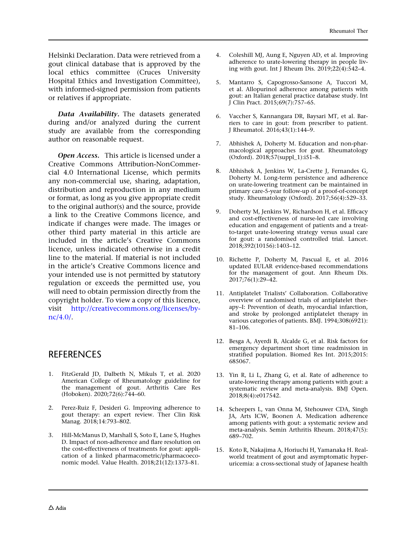<span id="page-7-0"></span>Helsinki Declaration. Data were retrieved from a gout clinical database that is approved by the local ethics committee (Cruces University Hospital Ethics and Investigation Committee), with informed-signed permission from patients or relatives if appropriate.

Data Availability. The datasets generated during and/or analyzed during the current study are available from the corresponding author on reasonable request.

Open Access. This article is licensed under a Creative Commons Attribution-NonCommercial 4.0 International License, which permits any non-commercial use, sharing, adaptation, distribution and reproduction in any medium or format, as long as you give appropriate credit to the original author(s) and the source, provide a link to the Creative Commons licence, and indicate if changes were made. The images or other third party material in this article are included in the article's Creative Commons licence, unless indicated otherwise in a credit line to the material. If material is not included in the article's Creative Commons licence and your intended use is not permitted by statutory regulation or exceeds the permitted use, you will need to obtain permission directly from the copyright holder. To view a copy of this licence, visit [http://creativecommons.org/licenses/by](http://creativecommons.org/licenses/by-nc/4.0/)[nc/4.0/](http://creativecommons.org/licenses/by-nc/4.0/).

# **REFERENCES**

- 1. FitzGerald JD, Dalbeth N, Mikuls T, et al. 2020 American College of Rheumatology guideline for the management of gout. Arthritis Care Res (Hoboken). 2020;72(6):744–60.
- 2. Perez-Ruiz F, Desideri G. Improving adherence to gout therapy: an expert review. Ther Clin Risk Manag. 2018;14:793–802.
- 3. Hill-McManus D, Marshall S, Soto E, Lane S, Hughes D. Impact of non-adherence and flare resolution on the cost-effectiveness of treatments for gout: application of a linked pharmacometric/pharmacoeconomic model. Value Health. 2018;21(12):1373–81.
- 4. Coleshill MJ, Aung E, Nguyen AD, et al. Improving adherence to urate-lowering therapy in people living with gout. Int J Rheum Dis.  $2019:22(4):542-4$ .
- 5. Mantarro S, Capogrosso-Sansone A, Tuccori M, et al. Allopurinol adherence among patients with gout: an Italian general practice database study. Int J Clin Pract. 2015;69(7):757–65.
- 6. Vaccher S, Kannangara DR, Baysari MT, et al. Barriers to care in gout: from prescriber to patient. J Rheumatol. 2016;43(1):144–9.
- 7. Abhishek A, Doherty M. Education and non-pharmacological approaches for gout. Rheumatology (Oxford). 2018;57(suppl\_1):i51–8.
- 8. Abhishek A, Jenkins W, La-Crette J, Fernandes G, Doherty M. Long-term persistence and adherence on urate-lowering treatment can be maintained in primary care-5-year follow-up of a proof-of-concept study. Rheumatology (Oxford). 2017;56(4):529–33.
- 9. Doherty M, Jenkins W, Richardson H, et al. Efficacy and cost-effectiveness of nurse-led care involving education and engagement of patients and a treatto-target urate-lowering strategy versus usual care for gout: a randomised controlled trial. Lancet. 2018;392(10156):1403–12.
- 10. Richette P, Doherty M, Pascual E, et al. 2016 updated EULAR evidence-based recommendations for the management of gout. Ann Rheum Dis. 2017;76(1):29–42.
- 11. Antiplatelet Trialists' Collaboration. Collaborative overview of randomised trials of antiplatelet therapy–I: Prevention of death, myocardial infarction, and stroke by prolonged antiplatelet therapy in various categories of patients. BMJ. 1994;308 $(6921)$ : 81–106.
- 12. Besga A, Ayerdi B, Alcalde G, et al. Risk factors for emergency department short time readmission in stratified population. Biomed Res Int. 2015;2015: 685067.
- 13. Yin R, Li L, Zhang G, et al. Rate of adherence to urate-lowering therapy among patients with gout: a systematic review and meta-analysis. BMJ Open. 2018;8(4):e017542.
- 14. Scheepers L, van Onna M, Stehouwer CDA, Singh JA, Arts ICW, Boonen A. Medication adherence among patients with gout: a systematic review and meta-analysis. Semin Arthritis Rheum. 2018;47(5): 689–702.
- 15. Koto R, Nakajima A, Horiuchi H, Yamanaka H. Realworld treatment of gout and asymptomatic hyperuricemia: a cross-sectional study of Japanese health